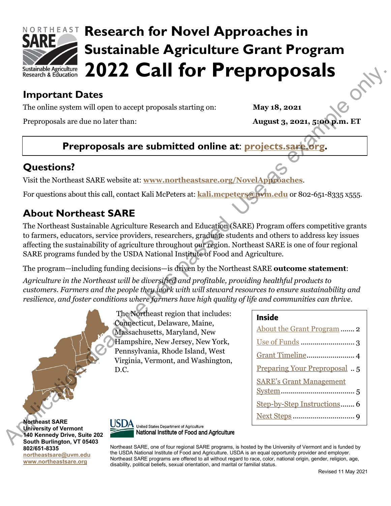

# **RORTHEAST Research for Novel Approaches in Sustainable Agriculture Grant Program 2022 Call for Preproposals**

## **Important Dates**

The online system will open to accept proposals starting on: **May 18, 2021**

Preproposals are due no later than: **August 3, 2021, 5:00 p.m. ET**

# **Preproposals are submitted online at: projects.sare.**

## **Questions?**

Visit the Northeast SARE website at: **www.northeastsare.org/NovelApproaches**.

For questions about this call, contact Kali McPeters at: **kali.mcpeters@uvm.edu** or 802-651-8335 x555.

# **About Northeast SARE**

The Northeast Sustainable Agriculture Research and Education (SARE) Program offers competitive grants to farmers, educators, service providers, researchers, graduate students and others to address key issues affecting the sustainability of agriculture throughout our region. Northeast SARE is one of four regional SARE programs funded by the USDA National Institute of Food and Agriculture. Application dealing and the system of the system of the system of the system of the system of the system of the system of the system of the system of the system of the system of the system of the system of the system of t

The program—including funding decisions—is driven by the Northeast SARE **outcome statement**:

*Agriculture in the Northeast will be diversified and profitable, providing healthful products to customers. Farmers and the people they work with will steward resources to ensure sustainability and resilience, and foster conditions where farmers have high quality of life and communities can thrive.* 

> The Northeast region that includes: Connecticut, Delaware, Maine, Massachusetts, Maryland, New Hampshire, New Jersey, New York, Pennsylvania, Rhode Island, West Virginia, Vermont, and Washington, D.C.

## Inside About the Grant Program ....... 2 Use of Funds ........................... 3 Grant Timeline........................ 4

- Preparing Your Preproposal .. 5
- SARE's Grant Management
- System..................................... 5
- Step-by-Step Instructions....... 6
- Next Steps ............................... 9

**Northeast SARE University of Vermont 140 Kennedy Drive, Suite 202 South Burlington, VT 05403 802/651-8335 [northeastsare@uvm.edu](mailto:northeastsare@uvm.edu) [www.northeastsare.org](http://www.northeastsare.org/)**



Northeast SARE, one of four regional SARE programs, is hosted by the University of Vermont and is funded by the USDA National Institute of Food and Agriculture. USDA is an equal opportunity provider and employer. Northeast SARE programs are offered to all without regard to race, color, national origin, gender, religion, age, disability, political beliefs, sexual orientation, and marital or familial status.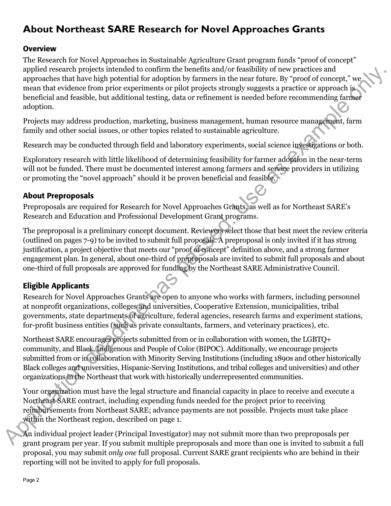# <span id="page-1-0"></span>**About Northeast SARE Research for Novel Approaches Grants**

#### **Overview**

The Research for Novel Approaches in Sustainable Agriculture Grant program funds "proof of concept" applied research projects intended to confirm the benefits and/or feasibility of new practices and approaches that have high potential for adoption by farmers in the near future. By "proof of concept," we mean that evidence from prior experiments or pilot projects strongly suggests a practice or approach is beneficial and feasible, but additional testing, data or refinement is needed before recommending farmer adoption.

Projects may address production, marketing, business management, human resource management, farm family and other social issues, or other topics related to sustainable agriculture.

Research may be conducted through field and laboratory experiments, social science investigations or both.

Exploratory research with little likelihood of determining feasibility for farmer adoption in the near-term will not be funded. There must be documented interest among farmers and service providers in utilizing or promoting the "novel approach" should it be proven beneficial and feasible.

#### About Preproposals

Preproposals are required for Research for Novel Approaches Grants, as well as for Northeast SARE's Research and Education and Professional Development Grant programs.

The preproposal is a preliminary concept document. Reviewers select those that best meet the review criteria (outlined on pages 7-9) to be invited to submit full proposals. A preproposal is only invited if it has strong justification, a project objective that meets our "proof of concept" definition above, and a strong farmer engagement plan. In general, about one-third of preproposals are invited to submit full proposals and about one-third of full proposals are approved for funding by the Northeast SARE Administrative Council. applied research projects intended to constrain the benefits and/or feasibility of two practices and<br>members from the transfer and the state of the projects and the state of the projects and<br>the passed in the state of the

## Eligible Applicants

Research for Novel Approaches Grants are open to anyone who works with farmers, including personnel at nonprofit organizations, colleges and universities, Cooperative Extension, municipalities, tribal governments, state departments of agriculture, federal agencies, research farms and experiment stations, for-profit business entities (such as private consultants, farmers, and veterinary practices), etc.

Northeast SARE encourages projects submitted from or in collaboration with women, the LGBTQ+ community, and Black, Indigenous and People of Color (BIPOC). Additionally, we encourage projects submitted from or in collaboration with Minority Serving Institutions (including 1890s and other historically Black colleges and universities, Hispanic-Serving Institutions, and tribal colleges and universities) and other organizations in the Northeast that work with historically underrepresented communities.

Your organization must have the legal structure and financial capacity in place to receive and execute a Northeast SARE contract, including expending funds needed for the project prior to receiving reimbursements from Northeast SARE; advance payments are not possible. Projects must take place within the Northeast region, described on page 1.

An individual project leader (Principal Investigator) may not submit more than two preproposals per grant program per year. If you submit multiple preproposals and more than one is invited to submit a full proposal, you may submit *only one* full proposal. Current SARE grant recipients who are behind in their reporting will not be invited to apply for full proposals.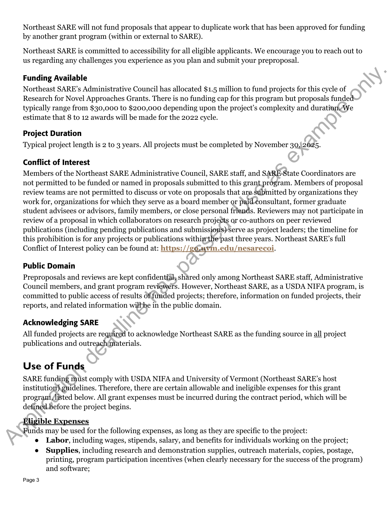Northeast SARE will not fund proposals that appear to duplicate work that has been approved for funding by another grant program (within or external to SARE).

Northeast SARE is committed to accessibility for all eligible applicants. We encourage you to reach out to us regarding any challenges you experience as you plan and submit your preproposal.

## Funding Available

Northeast SARE's Administrative Council has allocated \$1.5 million to fund projects for this cycle of Research for Novel Approaches Grants. There is no funding cap for this program but proposals funded typically range from \$30,000 to \$200,000 depending upon the project's complexity and duration. We estimate that 8 to 12 awards will be made for the 2022 cycle.

## Project Duration

Typical project length is 2 to 3 years. All projects must be completed by November 30, 2025.

## Conflict of Interest

Members of the Northeast SARE Administrative Council, SARE staff, and SARE State Coordinators are not permitted to be funded or named in proposals submitted to this grant program. Members of proposal review teams are not permitted to discuss or vote on proposals that are submitted by organizations they work for, organizations for which they serve as a board member or paid consultant, former graduate student advisees or advisors, family members, or close personal friends. Reviewers may not participate in review of a proposal in which collaborators on research projects or co-authors on peer reviewed publications (including pending publications and submissions) serve as project leaders; the timeline for this prohibition is for any projects or publications within the past three years. Northeast SARE's full Conflict of Interest policy can be found at: **https://go.uvm.edu/nesarecoi**. **Funding Available<br>
Notables SAME's Administrative Council has allocated \$1.5 million to fand projects for this proposals times<br>
Notables NAPP depressed. We [ass](https://go.uvm.edu/nesarecoi)ume that SI to 2 secondo the project scomplexity and durating** 

## Public Domain

Preproposals and reviews are kept confidential, shared only among Northeast SARE staff, Administrative Council members, and grant program reviewers. However, Northeast SARE, as a USDA NIFA program, is committed to public access of results of funded projects; therefore, information on funded projects, their reports, and related information will be in the public domain.

## Acknowledging SARE

All funded projects are required to acknowledge Northeast SARE as the funding source in all project publications and outreach materials.

## <span id="page-2-0"></span>**Use of Funds**

SARE funding must comply with USDA NIFA and University of Vermont (Northeast SARE's host institution) guidelines. Therefore, there are certain allowable and ineligible expenses for this grant program, listed below. All grant expenses must be incurred during the contract period, which will be defined before the project begins.

## **Eligible Expenses**

Funds may be used for the following expenses, as long as they are specific to the project:

- **Labor**, including wages, stipends, salary, and benefits for individuals working on the project;
- **Supplies**, including research and demonstration supplies, outreach materials, copies, postage, printing, program participation incentives (when clearly necessary for the success of the program) and software;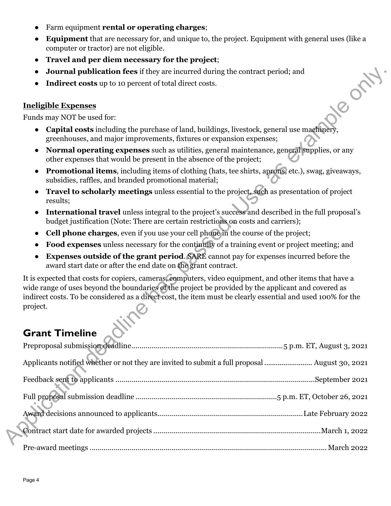- Farm equipment **rental or operating charges**;
- **Equipment** that are necessary for, and unique to, the project. Equipment with general uses (like a computer or tractor) are not eligible.
- **Travel and per diem necessary for the project**;
- **Journal publication fees** if they are incurred during the contract period; and
- **Indirect costs** up to 10 percent of total direct costs.

#### **Ineligible Expenses**

Funds may NOT be used for:

- **Capital costs** including the purchase of land, buildings, livestock, general use machinery, greenhouses, and major improvements, fixtures or expansion expenses;
- **Normal operating expenses** such as utilities, general maintenance, general supplies, or any other expenses that would be present in the absence of the project;
- **Promotional items**, including items of clothing (hats, tee shirts, aprons, etc.), swag, giveaways, subsidies, raffles, and branded promotional material;
- **Travel to scholarly meetings** unless essential to the project, such as presentation of project results;
- **International travel** unless integral to the project's success and described in the full proposal's budget justification (Note: There are certain restrictions on costs and carriers);
- **Cell phone charges**, even if you use your cell phone in the course of the project;
- **Food expenses** unless necessary for the continuity of a training event or project meeting; and
- **Expenses outside of the grant period. SARE** cannot pay for expenses incurred before the award start date or after the end date on the grant contract.

It is expected that costs for copiers, cameras, computers, video equipment, and other items that have a wide range of uses beyond the boundaries of the project be provided by the applicant and covered as indirect costs. To be considered as a direct cost, the item must be clearly essential and used 100% for the project. ublication fees if they are incurred during the contract period; and<br>
sorts up to 10 percent of total direct costs.<br>
since used for:<br>
sinchalong the purchase of land, buildings, livestock, general use magninger,<br>
s, and ma

# <span id="page-3-0"></span>**Grant Timeline**

| Applicants notified whether or not they are invited to submit a full proposal  August 30, 2021 |
|------------------------------------------------------------------------------------------------|
|                                                                                                |
|                                                                                                |
|                                                                                                |
|                                                                                                |
|                                                                                                |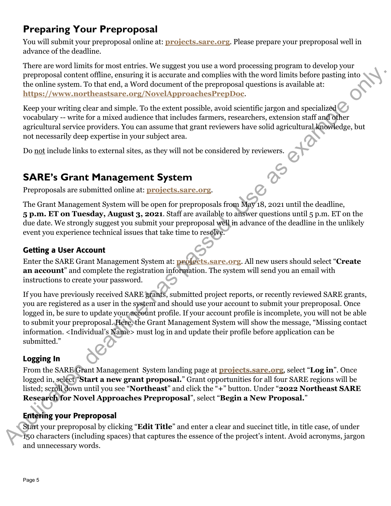# <span id="page-4-0"></span>**Preparing Your Preproposal**

You will submit your preproposal online at: **[projects.sare.org](https://projects.sare.org/)**. Please prepare your preproposal well in advance of the deadline.

There are word limits for most entries. We suggest you use a word processing program to develop your preproposal content offline, ensuring it is accurate and complies with the word limits before pasting into the online system. To that end, a Word document of the preproposal questions is available at: **https://www.northeastsare.org/NovelApproachesPrepDoc**.

Keep your writing clear and simple. To the extent possible, avoid scientific jargon and specialized  $\bigcirc$ vocabulary -- write for a mixed audience that includes farmers, researchers, extension staff and other agricultural service providers. You can assume that grant reviewers have solid agricultural knowledge, but not necessarily deep expertise in your subject area.

Do <u>not</u> include links to external sites, as they will not be considered by reviewers.<br> **SARE's Grant Management System**<br>
Preproposals are submitted and in

# <span id="page-4-1"></span>**SARE's Grant Management System**

Preproposals are submitted online at: **projects.sare.org**.

The Grant Management System will be open for preproposals from May 18, 2021 until the deadline, **5 p.m. ET on Tuesday, August 3, 2021**. Staff are available to answer questions until 5 p.m. ET on the due date. We strongly suggest you submit your preproposal well in advance of the deadline in the unlikely event you experience technical issues that take time to resolve.

## Getting a User Account

Enter the SARE Grant Management System at: **projects.sare.org**. All new users should select "**Create an account**" and complete the registration information. The system will send you an email with instructions to create your password.

If you have previously received SARE grants, submitted project reports, or recently reviewed SARE grants, you are registered as a user in the system and should use your account to submit your preproposal. Once logged in, be sure to update your account profile. If your account profile is incomplete, you will not be able to submit your preproposal. Here, the Grant Management System will show the message, "Missing contact information. <Individual's Name> must log in and update their profile before application can be submitted." Now move that a Novelon Consider the the security and the security of the security is in a Novelon and a Novelon and Simple only. The that and a Novelon of the preproposity desting into The measurem of the preproposity cur

## Logging In

From the SARE Grant Management System landing page at **[projects.sare.org](https://projects.sare.org/)**, select "**Log in**". Once logged in, select "**Start a new grant proposal.**" Grant opportunities for all four SARE regions will be listed; scroll down until you see "**Northeast**" and click the "**+**" button. Under "**2022 Northeast SARE Research for Novel Approaches Preproposal**", select "**Begin a New Proposal.**" From the SARE Grant<br>logged in, select "Star<br>listed; scroll down unt<br>**Research for Novel<br>Entering your Prepre<br>Start your preproposa**<br>150 characters (includ

## Entering your Preproposal

Start your preproposal by clicking "**Edit Title**" and enter a clear and succinct title, in title case, of under 150 characters (including spaces) that captures the essence of the project's intent. Avoid acronyms, jargon and unnecessary words.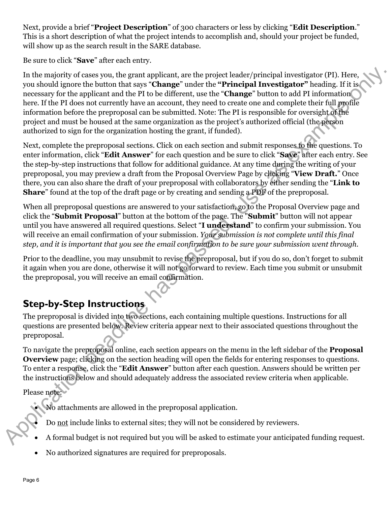Next, provide a brief "**Project Description**" of 300 characters or less by clicking "**Edit Description**." This is a short description of what the project intends to accomplish and, should your project be funded, will show up as the search result in the SARE database.

Be sure to click "**Save**" after each entry.

In the majority of cases you, the grant applicant, are the project leader/principal investigator (PI). Here, you should ignore the button that says "**Change**" under the **"Principal Investigator"** heading. If it is necessary for the applicant and the PI to be different, use the "**Change**" button to add PI information here. If the PI does not currently have an account, they need to create one and complete their full profile information before the preproposal can be submitted. Note: The PI is responsible for oversight of the project and must be housed at the same organization as the project's authorized official (the person authorized to sign for the organization hosting the grant, if funded). In the majority of cases you, the grant applicant, are the projet leader/principal investigator (P). Iters, a<br>sum about ingred is the project leader of the projection of the Finish<br>mechanism are the proposal on the Home o

Next, complete the preproposal sections. Click on each section and submit responses to the questions. To enter information, click "**Edit Answer**" for each question and be sure to click "**Save**" after each entry. See the step-by-step instructions that follow for additional guidance. At any time during the writing of your preproposal, you may preview a draft from the Proposal Overview Page by clicking "**View Draft.**" Once there, you can also share the draft of your preproposal with collaborators by either sending the "**Link to Share**" found at the top of the draft page or by creating and sending a PDF of the preproposal.

When all preproposal questions are answered to your satisfaction, go to the Proposal Overview page and click the "**Submit Proposal**" button at the bottom of the page. The "**Submit**" button will not appear until you have answered all required questions. Select "**I understand**" to confirm your submission. You will receive an email confirmation of your submission. *Your submission is not complete until this final step, and it is important that you see the email confirmation to be sure your submission went through.*

Prior to the deadline, you may unsubmit to revise the preproposal, but if you do so, don't forget to submit it again when you are done, otherwise it will not go forward to review. Each time you submit or unsubmit the preproposal, you will receive an email confirmation.

# <span id="page-5-0"></span>**Step-by-Step Instructions**

The preproposal is divided into two sections, each containing multiple questions. Instructions for all questions are presented below. Review criteria appear next to their associated questions throughout the preproposal.

To navigate the preproposal online, each section appears on the menu in the left sidebar of the **Proposal Overview** page; clicking on the section heading will open the fields for entering responses to questions. To enter a response, click the "**Edit Answer**" button after each question. Answers should be written per the instructions below and should adequately address the associated review criteria when applicable.

Please note:

• No attachments are allowed in the preproposal application.

• Do not include links to external sites; they will not be considered by reviewers.

- A formal budget is not required but you will be asked to estimate your anticipated funding request.
- No authorized signatures are required for preproposals.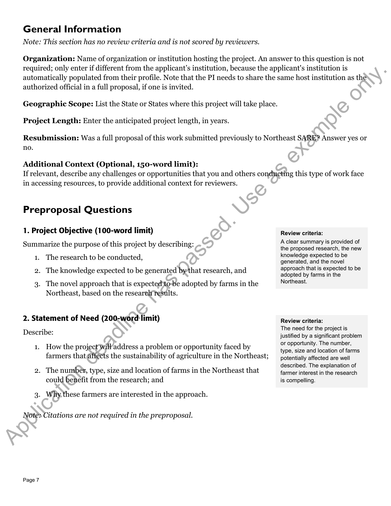## **General Information**

*Note: This section has no review criteria and is not scored by reviewers.* 

**Organization:** Name of organization or institution hosting the project. An answer to this question is not required; only enter if different from the applicant's institution, because the applicant's institution is automatically populated from their profile. Note that the PI needs to share the same host institution as the authorized official in a full proposal, if one is invited. required in our action dealing to the control of the material control of the control of the control of the control of the control of the control of the control of the control of the control of the control of the control of

**Geographic Scope:** List the State or States where this project will take place.

**Project Length:** Enter the anticipated project length, in years.

**Resubmission:** Was a full proposal of this work submitted previously to Northeast SARE? Answer yes or no.

#### **Additional Context (Optional, 150-word limit):**

If relevant, describe any challenges or opportunities that you and others conducting this type of work face in accessing resources, to provide additional context for reviewers.

## **Preproposal Questions**

### 1. Project Objective (100-word limit)

Summarize the purpose of this project by describing:

- 1. The research to be conducted,
- 2. The knowledge expected to be generated by that research, and
- 3. The novel approach that is expected to be adopted by farms in the Northeast, based on the research results.

## 2. Statement of Need (200-word limit)

Describe:

- 1. How the project will address a problem or opportunity faced by farmers that affects the sustainability of agriculture in the Northeast;
- 2. The number, type, size and location of farms in the Northeast that could benefit from the research; and
- Why these farmers are interested in the approach.

*Note: Citations are not required in the preproposal.*

#### **Review criteria:**

A clear summary is provided of the proposed research, the new knowledge expected to be generated, and the novel approach that is expected to be adopted by farms in the Northeast.

#### **Review criteria:**

The need for the project is justified by a significant problem or opportunity. The number, type, size and location of farms potentially affected are well described. The explanation of farmer interest in the research is compelling.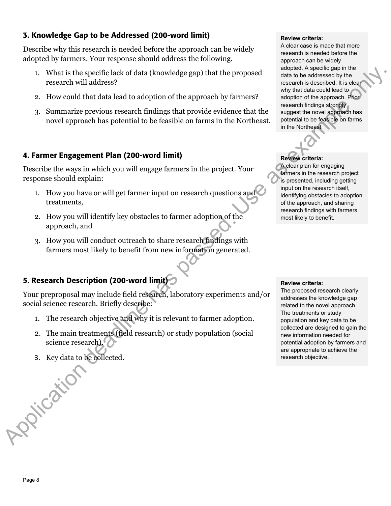## 3. Knowledge Gap to be Addressed (200-word limit)

Describe why this research is needed before the approach can be widely adopted by farmers. Your response should address the following.

- 1. What is the specific lack of data (knowledge gap) that the proposed research will address?
- 2. How could that data lead to adoption of the approach by farmers?
- 3. Summarize previous research findings that provide evidence that the novel approach has potential to be feasible on farms in the Northeast.

#### 4. Farmer Engagement Plan (200-word limit)

Describe the ways in which you will engage farmers in the project. Your response should explain:

- 1. How you have or will get farmer input on research questions and treatments,
- 2. How you will identify key obstacles to farmer adoption of the approach, and
- 3. How you will conduct outreach to share research findings with farmers most likely to benefit from new information generated.

## 5. Research Description (200-word limit)

Your preproposal may include field research, laboratory experiments and/or social science research. Briefly describe:

- 1. The research objective and why it is relevant to farmer adoption.
- 2. The main treatments (field research) or study population (social science research).
- 3. Key data to be collected.

#### **Review criteria:**

A clear case is made that more research is needed before the approach can be widely adopted. A specific gap in the data to be addressed by the research is described. It is clear why that data could lead to adoption of the approach. Prior research findings strongly suggest the novel approach has potential to be feasible on farms in the Northeast.

#### **Review criteria:**

A clear plan for engaging farmers in the research project is presented, including getting input on the research itself, identifying obstacles to adoption of the approach, and sharing research findings with farmers most likely to benefit.

#### **Review criteria:**

The proposed research clearly addresses the knowledge gap related to the novel approach. The treatments or study population and key data to be collected are designed to gain the new information needed for potential adoption by farmers and are appropriate to achieve the research objective. 1. What is the procedure lately condition and the proposed.<br>
The research will diduces?<br>
2. How could that data lead to sdopt<br>ion of the approach by farmers?<br>
2. How could that data lead to sdopt<br>ion of the approach by fa